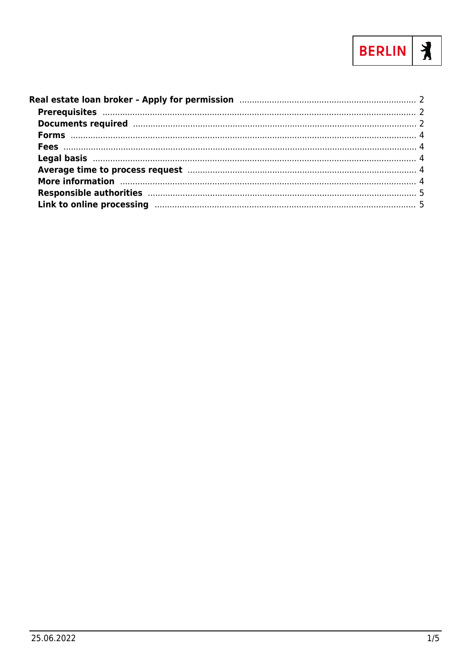

| Average time to process request manufacture and the contract of the process request manufacture and the contract of the contract of the contract of the contract of the contract of the contract of the contract of the contra |  |
|--------------------------------------------------------------------------------------------------------------------------------------------------------------------------------------------------------------------------------|--|
| More information manufactured and all the contractor of the contractor and the contractor of the contractor of                                                                                                                 |  |
| Responsible authorities manufactured and the control of the state of the state of the state of the state of the                                                                                                                |  |
|                                                                                                                                                                                                                                |  |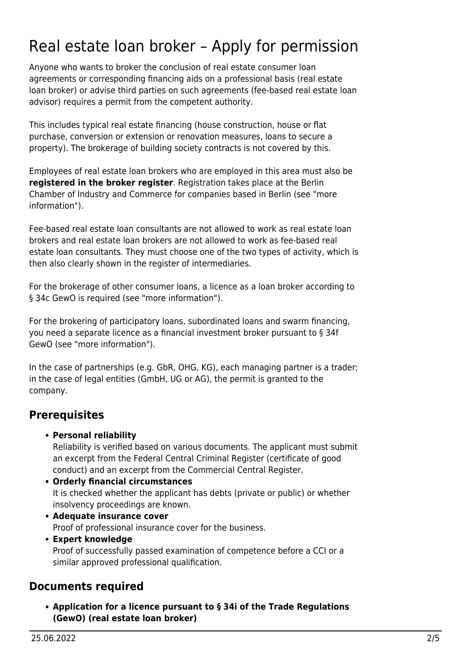# <span id="page-1-0"></span>Real estate loan broker – Apply for permission

Anyone who wants to broker the conclusion of real estate consumer loan agreements or corresponding financing aids on a professional basis (real estate loan broker) or advise third parties on such agreements (fee-based real estate loan advisor) requires a permit from the competent authority.

This includes typical real estate financing (house construction, house or flat purchase, conversion or extension or renovation measures, loans to secure a property). The brokerage of building society contracts is not covered by this.

Employees of real estate loan brokers who are employed in this area must also be **registered in the broker register**. Registration takes place at the Berlin Chamber of Industry and Commerce for companies based in Berlin (see "more information").

Fee-based real estate loan consultants are not allowed to work as real estate loan brokers and real estate loan brokers are not allowed to work as fee-based real estate loan consultants. They must choose one of the two types of activity, which is then also clearly shown in the register of intermediaries.

For the brokerage of other consumer loans, a licence as a loan broker according to § 34c GewO is required (see "more information").

For the brokering of participatory loans, subordinated loans and swarm financing, you need a separate licence as a financial investment broker pursuant to § 34f GewO (see "more information").

In the case of partnerships (e.g. GbR, OHG, KG), each managing partner is a trader; in the case of legal entities (GmbH, UG or AG), the permit is granted to the company.

## <span id="page-1-1"></span>**Prerequisites**

**Personal reliability**

Reliability is verified based on various documents. The applicant must submit an excerpt from the Federal Central Criminal Register (certificate of good conduct) and an excerpt from the Commercial Central Register.

- **Orderly financial circumstances** It is checked whether the applicant has debts (private or public) or whether insolvency proceedings are known.
- **Adequate insurance cover** Proof of professional insurance cover for the business.
- **Expert knowledge** Proof of successfully passed examination of competence before a CCI or a similar approved professional qualification.

## <span id="page-1-2"></span>**Documents required**

**Application for a licence pursuant to § 34i of the Trade Regulations (GewO) (real estate loan broker)**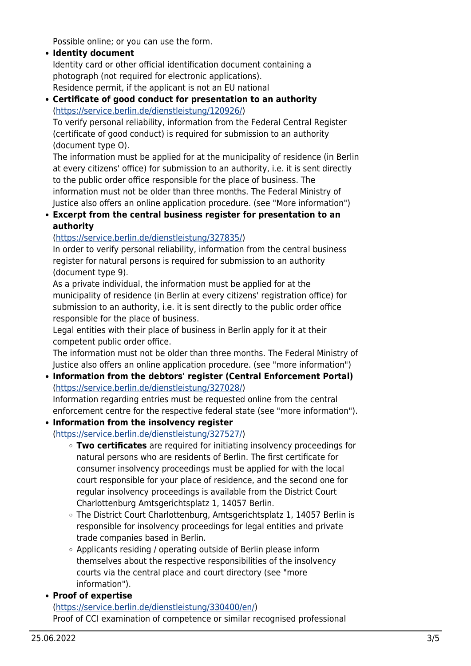Possible online; or you can use the form.

- **Identity document** Identity card or other official identification document containing a photograph (not required for electronic applications). Residence permit, if the applicant is not an EU national
- **Certificate of good conduct for presentation to an authority** (<https://service.berlin.de/dienstleistung/120926/>)

To verify personal reliability, information from the Federal Central Register (certificate of good conduct) is required for submission to an authority (document type O).

The information must be applied for at the municipality of residence (in Berlin at every citizens' office) for submission to an authority, i.e. it is sent directly to the public order office responsible for the place of business. The information must not be older than three months. The Federal Ministry of Justice also offers an online application procedure. (see "More information")

**Excerpt from the central business register for presentation to an authority**

#### (<https://service.berlin.de/dienstleistung/327835/>)

In order to verify personal reliability, information from the central business register for natural persons is required for submission to an authority (document type 9).

As a private individual, the information must be applied for at the municipality of residence (in Berlin at every citizens' registration office) for submission to an authority, i.e. it is sent directly to the public order office responsible for the place of business.

Legal entities with their place of business in Berlin apply for it at their competent public order office.

The information must not be older than three months. The Federal Ministry of Justice also offers an online application procedure. (see "more information")

**Information from the debtors' register (Central Enforcement Portal)** (<https://service.berlin.de/dienstleistung/327028/>)

Information regarding entries must be requested online from the central enforcement centre for the respective federal state (see "more information").

- **Information from the insolvency register** (<https://service.berlin.de/dienstleistung/327527/>)
	- **Two certificates** are required for initiating insolvency proceedings for natural persons who are residents of Berlin. The first certificate for consumer insolvency proceedings must be applied for with the local court responsible for your place of residence, and the second one for regular insolvency proceedings is available from the District Court Charlottenburg Amtsgerichtsplatz 1, 14057 Berlin.
	- The District Court Charlottenburg, Amtsgerichtsplatz 1, 14057 Berlin is responsible for insolvency proceedings for legal entities and private trade companies based in Berlin.
	- Applicants residing / operating outside of Berlin please inform themselves about the respective responsibilities of the insolvency courts via the central place and court directory (see "more information").

**Proof of expertise**

([https://service.berlin.de/dienstleistung/330400/en/\)](https://service.berlin.de/dienstleistung/330400/en/) Proof of CCI examination of competence or similar recognised professional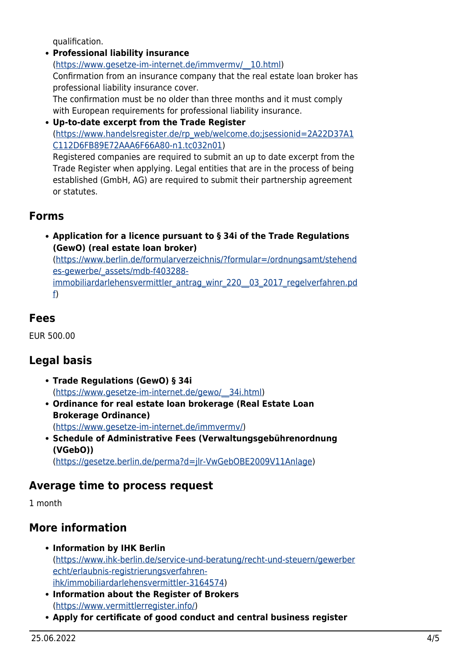qualification.

- **Professional liability insurance** ([https://www.gesetze-im-internet.de/immvermv/\\_\\_10.html](https://www.gesetze-im-internet.de/immvermv/__10.html)) Confirmation from an insurance company that the real estate loan broker has professional liability insurance cover. The confirmation must be no older than three months and it must comply with European requirements for professional liability insurance. **Up-to-date excerpt from the Trade Register**
- ([https://www.handelsregister.de/rp\\_web/welcome.do;jsessionid=2A22D37A1](https://www.handelsregister.de/rp_web/welcome.do;jsessionid=2A22D37A1C112D6FB89E72AAA6F66A80-n1.tc032n01) [C112D6FB89E72AAA6F66A80-n1.tc032n01](https://www.handelsregister.de/rp_web/welcome.do;jsessionid=2A22D37A1C112D6FB89E72AAA6F66A80-n1.tc032n01)) Registered companies are required to submit an up to date excerpt from the

Trade Register when applying. Legal entities that are in the process of being established (GmbH, AG) are required to submit their partnership agreement or statutes.

#### <span id="page-3-0"></span>**Forms**

**Application for a licence pursuant to § 34i of the Trade Regulations (GewO) (real estate loan broker)** ([https://www.berlin.de/formularverzeichnis/?formular=/ordnungsamt/stehend](https://www.berlin.de/formularverzeichnis/?formular=/ordnungsamt/stehendes-gewerbe/_assets/mdb-f403288-immobiliardarlehensvermittler_antrag_winr_220__03_2017_regelverfahren.pdf) [es-gewerbe/\\_assets/mdb-f403288](https://www.berlin.de/formularverzeichnis/?formular=/ordnungsamt/stehendes-gewerbe/_assets/mdb-f403288-immobiliardarlehensvermittler_antrag_winr_220__03_2017_regelverfahren.pdf) immobiliardarlehensvermittler\_antrag\_winr\_220\_03\_2017\_regelverfahren.pd [f](https://www.berlin.de/formularverzeichnis/?formular=/ordnungsamt/stehendes-gewerbe/_assets/mdb-f403288-immobiliardarlehensvermittler_antrag_winr_220__03_2017_regelverfahren.pdf))

#### <span id="page-3-1"></span>**Fees**

EUR 500.00

## <span id="page-3-2"></span>**Legal basis**

- **Trade Regulations (GewO) § 34i** ([https://www.gesetze-im-internet.de/gewo/\\_\\_34i.html\)](https://www.gesetze-im-internet.de/gewo/__34i.html)
- **Ordinance for real estate loan brokerage (Real Estate Loan Brokerage Ordinance)** ([https://www.gesetze-im-internet.de/immvermv/\)](https://www.gesetze-im-internet.de/immvermv/)
- **Schedule of Administrative Fees (Verwaltungsgebührenordnung (VGebO))** ([https://gesetze.berlin.de/perma?d=jlr-VwGebOBE2009V11Anlage\)](https://gesetze.berlin.de/perma?d=jlr-VwGebOBE2009V11Anlage)

#### <span id="page-3-3"></span>**Average time to process request**

1 month

## <span id="page-3-4"></span>**More information**

- **Information by IHK Berlin** ([https://www.ihk-berlin.de/service-und-beratung/recht-und-steuern/gewerber](https://www.ihk-berlin.de/service-und-beratung/recht-und-steuern/gewerberecht/erlaubnis-registrierungsverfahren-ihk/immobiliardarlehensvermittler-3164574) [echt/erlaubnis-registrierungsverfahren](https://www.ihk-berlin.de/service-und-beratung/recht-und-steuern/gewerberecht/erlaubnis-registrierungsverfahren-ihk/immobiliardarlehensvermittler-3164574)[ihk/immobiliardarlehensvermittler-3164574](https://www.ihk-berlin.de/service-und-beratung/recht-und-steuern/gewerberecht/erlaubnis-registrierungsverfahren-ihk/immobiliardarlehensvermittler-3164574))
- **Information about the Register of Brokers** (<https://www.vermittlerregister.info/>)
- **Apply for certificate of good conduct and central business register**